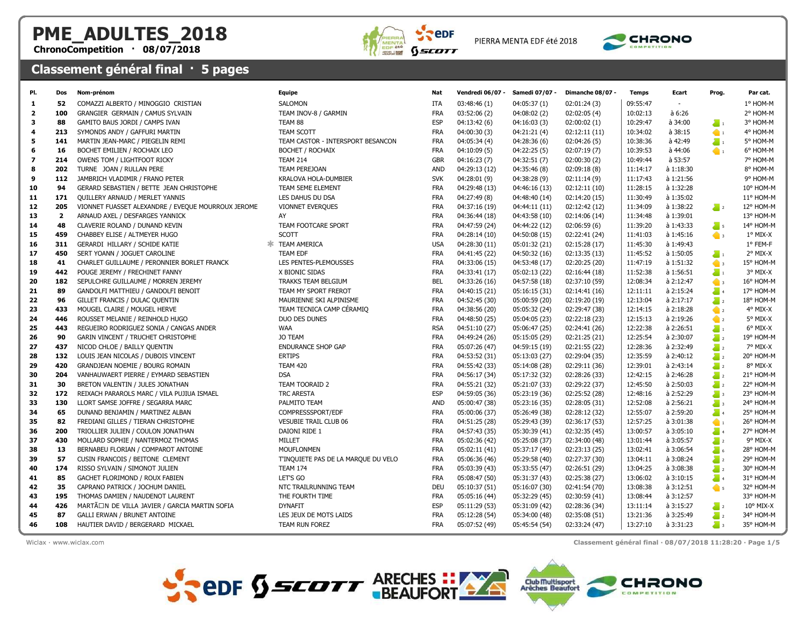## PME\_ADULTES\_2018

ChronoCompetition · 08/07/2018



PIERRA MENTA EDF été 2018



## Classement général final · 5 pages

| PI.                      | <b>Dos</b>   | Nom-prénom                                                                      | Equipe                              | Nat                      | <b>Vendredi 06/07 -</b>        | Samedi 07/07 -                 | Dimanche 08/07 -               | <b>Temps</b>         | Ecart                  | Prog.                                | Par cat.               |
|--------------------------|--------------|---------------------------------------------------------------------------------|-------------------------------------|--------------------------|--------------------------------|--------------------------------|--------------------------------|----------------------|------------------------|--------------------------------------|------------------------|
| 1                        | 52           | COMAZZI ALBERTO / MINOGGIO CRISTIAN                                             | <b>SALOMON</b>                      | <b>ITA</b>               | 03:48:46(1)                    | 04:05:37(1)                    | 02:01:24(3)                    | 09:55:47             | $\sim$                 |                                      | 1° HOM-M               |
| $\overline{2}$           | 100          | GRANGIER GERMAIN / CAMUS SYLVAIN                                                | TEAM INOV-8 / GARMIN                | <b>FRA</b>               | 03:52:06 (2)                   | 04:08:02(2)                    | 02:02:05(4)                    | 10:02:13             | a 6:26                 |                                      | 2° HOM-M               |
| 3                        | 88           | GAMITO BAUS JORDI / CAMPS IVAN                                                  | TEAM 88                             | <b>ESP</b>               | 04:13:42(6)                    | 04:16:03(3)                    | 02:00:02(1)                    | 10:29:47             | à 34:00                | $\sum_{i=1}^{n}$                     | 3° HOM-M               |
| 4                        | 213          | SYMONDS ANDY / GAFFURI MARTIN                                                   | TEAM SCOTT                          | <b>FRA</b>               | 04:00:30(3)                    | 04:21:21 (4)                   | 02:12:11(11)                   | 10:34:02             | à 38:15                | $\bullet$                            | 4° HOM-M               |
| 5                        | 141          | MARTIN JEAN-MARC / PIEGELIN REMI                                                | TEAM CASTOR - INTERSPORT BESANCON   | <b>FRA</b>               | 04:05:34 (4)                   | 04:28:36(6)                    | 02:04:26(5)                    | 10:38:36             | à 42:49                | $\sum_{i=1}^{n}$                     | 5° HOM-M               |
| 6                        | 16           | BOCHET EMILIEN / ROCHAIX LEO                                                    | <b>BOCHET / ROCHAIX</b>             | <b>FRA</b>               | 04:10:09(5)                    | 04:22:25(5)                    | 02:07:19(7)                    | 10:39:53             | à 44:06                | $\bullet$                            | 6° HOM-M               |
| $\overline{\phantom{a}}$ | 214          | OWENS TOM / LIGHTFOOT RICKY                                                     | <b>TEAM 214</b>                     | <b>GBR</b>               | 04:16:23(7)                    | 04:32:51(7)                    | 02:00:30(2)                    | 10:49:44             | à 53:57                |                                      | 7° HOM-M               |
| 8                        | 202          | TURNE JOAN / RULLAN PERE                                                        | <b>TEAM PEREJOAN</b>                | <b>AND</b>               | 04:29:13 (12)                  | 04:35:46 (8)                   | 02:09:18(8)                    | 11:14:17             | à 1:18:30              |                                      | 8° HOM-M               |
| 9                        | 112          | JAMBRICH VLADIMIR / FRANO PETER                                                 | KRALOVA HOLA-DUMBIER                | <b>SVK</b>               | 04:28:01(9)                    | 04:38:28 (9)                   | 02:11:14(9)                    | 11:17:43             | à 1:21:56              |                                      | 9° HOM-M               |
| 10                       | 94           | GERARD SEBASTIEN / BETTE JEAN CHRISTOPHE                                        | TEAM 5EME ELEMENT                   | <b>FRA</b>               | 04:29:48 (13)                  | 04:46:16 (13)                  | 02:12:11(10)                   | 11:28:15             | à 1:32:28              |                                      | 10° HOM-M              |
| 11                       | 171          | <b>QUILLERY ARNAUD / MERLET YANNIS</b>                                          | LES DAHUS DU DSA                    | <b>FRA</b>               | 04:27:49(8)                    | 04:48:40 (14)                  | 02:14:20 (15)                  | 11:30:49             | à 1:35:02              |                                      | 11° HOM-M              |
| 12                       | 205          | VIONNET FUASSET ALEXANDRE / EVEQUE MOURROUX JEROME                              | <b>VIONNET EVERQUES</b>             | <b>FRA</b>               | 04:37:16 (19)                  | 04:44:11 (11)                  | 02:12:42 (12)                  | 11:34:09             | à 1:38:22              | $\sum_{i=1}^{n}$                     | 12° HOM-M              |
| 13                       | $\mathbf{2}$ | ARNAUD AXEL / DESFARGES YANNICK                                                 | AY                                  | <b>FRA</b>               | 04:36:44 (18)                  | 04:43:58 (10)                  | 02:14:06 (14)                  | 11:34:48             | à 1:39:01              |                                      | 13° HOM-M              |
| 14                       | 48           | CLAVERIE ROLAND / DUNAND KEVIN                                                  | TEAM FOOTCARE SPORT                 | <b>FRA</b>               | 04:47:59 (24)                  | 04:44:22 (12)                  | 02:06:59(6)                    | 11:39:20             | à 1:43:33              | $\sum_{i=1}^{n}$                     | 14° HOM-M              |
| 15                       | 459          | CHABBEY ELISE / ALTMEYER HUGO                                                   | <b>SCOTT</b>                        | <b>FRA</b>               | 04:28:14(10)                   | 04:50:08 (15)                  | 02:22:41 (24)                  | 11:41:03             | à 1:45:16              | $\bullet$ 3                          | 1° MIX-X               |
| 16                       | 311          | GERARDI HILLARY / SCHIDE KATIE                                                  | <b>* TEAM AMERICA</b>               | <b>USA</b>               | 04:28:30 (11)                  | 05:01:32 (21)                  | 02:15:28 (17)                  | 11:45:30             | à 1:49:43              |                                      | 1° FEM-F               |
| 17                       | 450          | SERT YOANN / JOGUET CAROLINE                                                    | <b>TEAM EDF</b>                     | <b>FRA</b>               | 04:41:45 (22)                  | 04:50:32 (16)                  | 02:13:35(13)                   | 11:45:52             | à 1:50:05              | $\sum_{i=1}^{n}$                     | 2° MIX-X               |
| 18                       | 41           | CHARLET GUILLAUME / PERONNIER BORLET FRANCK                                     | LES PENTES-PLEMOUSSES               | <b>FRA</b>               | 04:33:06 (15)                  | 04:53:48 (17)                  | 02:20:25 (20)                  | 11:47:19             | à 1:51:32              | $\bullet$ 3                          | 15° HOM-M              |
| 19                       | 442          | POUGE JEREMY / FRECHINET FANNY                                                  | X BIONIC SIDAS                      | <b>FRA</b>               | 04:33:41 (17)                  | 05:02:13 (22)                  | 02:16:44 (18)                  | 11:52:38             | à 1:56:51              | $\sum_{i=1}^{n}$                     | 3° MIX-X               |
| 20                       | 182          | SEPULCHRE GUILLAUME / MORREN JEREMY                                             | <b>TRAKKS TEAM BELGIUM</b>          | <b>BEL</b>               | 04:33:26 (16)                  | 04:57:58 (18)                  | 02:37:10 (59)                  | 12:08:34             | à 2:12:47              | $\bullet$ 3                          | 16° HOM-M              |
| 21                       | 89           | GANDOLFI MATTHIEU / GANDOLFI BENOIT                                             | TEAM MY SPORT FREROT                | <b>FRA</b>               | 04:40:15 (21)                  | 05:16:15(31)                   | 02:14:41 (16)                  | 12:11:11             | à 2:15:24              | $\sum_{i=1}^{n}$                     | 17° HOM-M              |
| 22                       | 96           | GILLET FRANCIS / DULAC QUENTIN                                                  | MAURIENNE SKI ALPINISME             | <b>FRA</b>               | 04:52:45 (30)                  | 05:00:59 (20)                  | 02:19:20 (19)                  | 12:13:04             | à 2:17:17              | $\sum_{i=1}^{n}$                     | 18° HOM-M              |
| 23                       | 433          | MOUGEL CLAIRE / MOUGEL HERVE                                                    | TEAM TECNICA CAMP CÉRAMIO           | <b>FRA</b>               | 04:38:56 (20)                  | 05:05:32 (24)                  | 02:29:47 (38)                  | 12:14:15             | à 2:18:28              | $\bullet$ 2                          | 4° MIX-X               |
| 24                       | 446          | ROUSSET MELANIE / REINHOLD HUGO                                                 | DUO DES DUNES                       | <b>FRA</b>               | 04:48:50 (25)                  | 05:04:05 (23)                  | 02:22:18 (23)                  | 12:15:13             | à 2:19:26              | $\bullet$ 2                          | 5° MIX-X               |
| 25                       | 443          | REGUEIRO RODRIGUEZ SONIA / CANGAS ANDER                                         | <b>WAA</b>                          | <b>RSA</b>               | 04:51:10 (27)                  | 05:06:47 (25)                  | 02:24:41 (26)                  | 12:22:38             | à 2:26:51              | $\sum_{i=1}^{n}$                     | 6° MIX-X               |
| 26                       | 90           | GARIN VINCENT / TRUCHET CHRISTOPHE                                              | <b>JO TEAM</b>                      | <b>FRA</b>               | 04:49:24 (26)                  | 05:15:05 (29)                  | 02:21:25 (21)                  | 12:25:54             | à 2:30:07              | $\sum_{i=1}^{n}$                     | 19° HOM-M              |
| 27                       | 437          | NICOD CHLOE / BAILLY QUENTIN                                                    | <b>ENDURANCE SHOP GAP</b>           | <b>FRA</b>               | 05:07:26 (47)                  | 04:59:15 (19)                  | 02:21:55 (22)                  | 12:28:36             | à 2:32:49              | $\sum_{i=1}^{n}$                     | 7° MIX-X               |
| 28                       | 132          | LOUIS JEAN NICOLAS / DUBOIS VINCENT                                             | <b>ERTIPS</b>                       | <b>FRA</b>               | 04:53:52 (31)                  | 05:13:03 (27)                  | 02:29:04 (35)                  | 12:35:59             | à 2:40:12              | $\sum_{i=1}^{n}$                     | 20° HOM-M              |
| 29                       | 420<br>204   | GRANDJEAN NOEMIE / BOURG ROMAIN                                                 | <b>TEAM 420</b><br><b>DSA</b>       | <b>FRA</b><br><b>FRA</b> | 04:55:42 (33)                  | 05:14:08 (28)                  | 02:29:11 (36)                  | 12:39:01             | à 2:43:14              | $\sum_{i=1}^{n}$                     | 8° MIX-X               |
| 30                       |              | VANHAUWAERT PIERRE / EYMARD SEBASTIEN                                           |                                     |                          | 04:56:17 (34)                  | 05:17:32 (32)                  | 02:28:26 (33)                  | 12:42:15             | à 2:46:28              | $\sum_{i=1}^{n}$                     | 21° HOM-M              |
| 31                       | 30<br>172    | BRETON VALENTIN / JULES JONATHAN                                                | TEAM TOORAID 2<br><b>TRC ARESTA</b> | <b>FRA</b><br><b>ESP</b> | 04:55:21 (32)                  | 05:21:07 (33)                  | 02:29:22 (37)                  | 12:45:50<br>12:48:16 | à 2:50:03<br>à 2:52:29 | $\sum_{i=1}^{n}$                     | 22° HOM-M<br>23° HOM-M |
| 32<br>33                 | 130          | REIXACH PARAROLS MARC / VILA PUJIUA ISMAEL<br>LLORT SAMSE JOFFRE / SEGARRA MARC | PALMITO TEAM                        | <b>AND</b>               | 04:59:05 (36)<br>05:00:47 (38) | 05:23:19 (36)                  | 02:25:52 (28)                  | 12:52:08             | à 2:56:21              | $\sum_{i=1}^{n}$<br>$\sum_{i=1}^{n}$ | 24° HOM-M              |
| 34                       | 65           | DUNAND BENJAMIN / MARTINEZ ALBAN                                                | COMPRESSSPORT/EDF                   | <b>FRA</b>               | 05:00:06 (37)                  | 05:23:16 (35)<br>05:26:49 (38) | 02:28:05 (31)<br>02:28:12 (32) | 12:55:07             | à 2:59:20              | $\sum_{i=1}^{n}$                     | 25° HOM-M              |
| 35                       | 82           | FREDIANI GILLES / TIERAN CHRISTOPHE                                             | <b>VESUBIE TRAIL CLUB 06</b>        | <b>FRA</b>               | 04:51:25 (28)                  | 05:29:43 (39)                  | 02:36:17 (53)                  | 12:57:25             | à 3:01:38              | $\bullet$                            | 26° HOM-M              |
| 36                       | 200          | TRIOLLIER JULIEN / COULON JONATHAN                                              | DAIONI RIDE 1                       | <b>FRA</b>               | 04:57:43 (35)                  | 05:30:39 (41)                  | 02:32:35 (45)                  | 13:00:57             | à 3:05:10              | $\sum_{i=1}^{n}$                     | 27° HOM-M              |
| 37                       | 430          | MOLLARD SOPHIE / NANTERMOZ THOMAS                                               | MILLET                              | <b>FRA</b>               | 05:02:36 (42)                  | 05:25:08 (37)                  | 02:34:00 (48)                  | 13:01:44             | à 3:05:57              | $\sum_{i=1}^{n}$                     | 9° MIX-X               |
| 38                       | 13           | BERNABEU FLORIAN / COMPAROT ANTOINE                                             | <b>MOUFLONMEN</b>                   | <b>FRA</b>               | 05:02:11 (41)                  | 05:37:17 (49)                  | 02:23:13 (25)                  | 13:02:41             | à 3:06:54              | $\sum_{i=1}^{n}$                     | 28° HOM-M              |
| 39                       | 57           | CUSIN FRANCOIS / BEITONE CLEMENT                                                | T'INQUIETE PAS DE LA MARQUE DU VELO | <b>FRA</b>               | 05:06:36 (46)                  | 05:29:58 (40)                  | 02:27:37 (30)                  | 13:04:11             | à 3:08:24              | $\sum_{i=1}^{n}$                     | 29° HOM-M              |
| 40                       | 174          | RISSO SYLVAIN / SIMONOT JULIEN                                                  | <b>TEAM 174</b>                     | <b>FRA</b>               | 05:03:39 (43)                  | 05:33:55 (47)                  | 02:26:51 (29)                  | 13:04:25             | à 3:08:38              | $\sum_{i=1}^{n}$                     | 30° HOM-M              |
| 41                       | 85           | GACHET FLORIMOND / ROUX FABIEN                                                  | LET'S GO                            | <b>FRA</b>               | 05:08:47 (50)                  | 05:31:37 (43)                  | 02:25:38 (27)                  | 13:06:02             | $a$ 3:10:15            | $\sum_{i=1}^{n}$                     | 31° HOM-M              |
| 42                       | 35           | CAPRANO PATRICK / JOCHUM DANIEL                                                 | NTC TRAILRUNNING TEAM               | <b>DEU</b>               | 05:10:37 (51)                  | 05:16:07 (30)                  | 02:41:54 (70)                  | 13:08:38             | à 3:12:51              | $\bullet$ 5                          | 32° HOM-M              |
| 43                       | 195          | THOMAS DAMIEN / NAUDENOT LAURENT                                                | THE FOURTH TIME                     | <b>FRA</b>               | 05:05:16 (44)                  | 05:32:29 (45)                  | 02:30:59 (41)                  | 13:08:44             | à 3:12:57              |                                      | 33° HOM-M              |
| 44                       | 426          | MARTÃ⊡N DE VILLA JAVIER / GARCIA MARTIN SOFIA                                   | <b>DYNAFIT</b>                      | <b>ESP</b>               | 05:11:29 (53)                  | 05:31:09 (42)                  | 02:28:36 (34)                  | 13:11:14             | à 3:15:27              | $\sum_{i=1}^{n}$                     | $10^{\circ}$ MIX-X     |
| 45                       | 87           | <b>GALLI ERWAN / BRUNET ANTOINE</b>                                             | LES JEUX DE MOTS LAIDS              | <b>FRA</b>               | 05:12:28 (54)                  | 05:34:00 (48)                  | 02:35:08 (51)                  | 13:21:36             | à 3:25:49              | $\sum_{i=1}^{n}$                     | 34° HOM-M              |
| 46                       | 108          | HAUTIER DAVID / BERGERARD MICKAEL                                               | TEAM RUN FOREZ                      | <b>FRA</b>               | 05:07:52 (49)                  | 05:45:54 (54)                  | 02:33:24 (47)                  | 13:27:10             | à 3:31:23              | $\sum_{i=1}^{n}$                     | 35° HOM-M              |
|                          |              |                                                                                 |                                     |                          |                                |                                |                                |                      |                        |                                      |                        |

Wiclax · www.wiclax.com **Classement général final · 08/07/2018 11:28:20 · Page 1/5** 

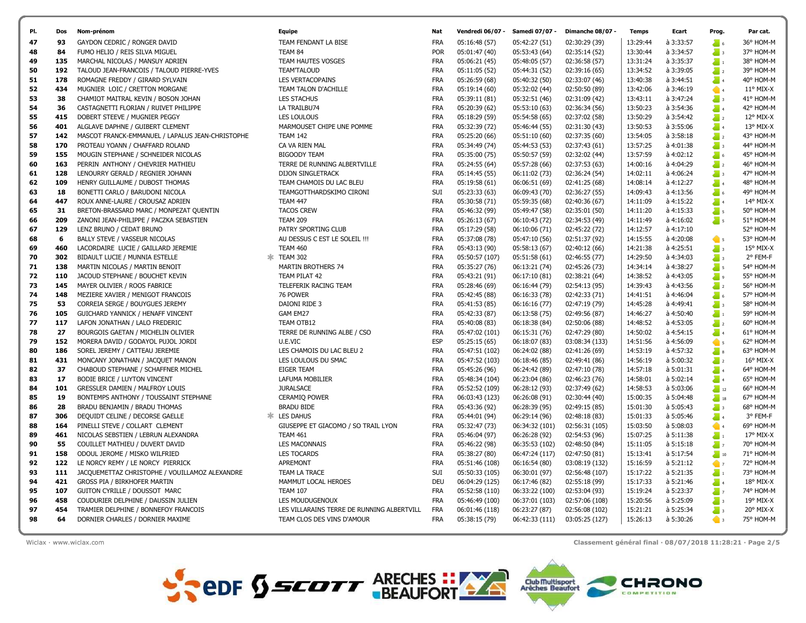

| 70 | 302 | BIDAULT LUCIE / MUNNIA ESTELLE                 | ж | TEAM 302                                   | FRA        | 05:50:57 (107) | 05:51:58 (61)  | 02:46:55(77)                                              | 14:29:50 | à 4:34:03 | $\frac{1}{2}$ 3            | 2° FEM-F           |
|----|-----|------------------------------------------------|---|--------------------------------------------|------------|----------------|----------------|-----------------------------------------------------------|----------|-----------|----------------------------|--------------------|
| 71 | 138 | MARTIN NICOLAS / MARTIN BENOIT                 |   | <b>MARTIN BROTHERS 74</b>                  | <b>FRA</b> | 05:35:27 (76)  | 06:13:21 (74)  | 02:45:26 (73)                                             | 14:34:14 | à 4:38:27 | $\sum_{i=1}^{n} S_i$       | 54° HOM-M          |
| 72 | 110 | JACOUD STEPHANE / BOUCHET KEVIN                |   | TEAM PILAT 42                              | <b>FRA</b> | 05:43:21 (91)  | 06:17:10 (81)  | 02:38:21 (64)                                             | 14:38:52 | à 4:43:05 | $\sum_{i=1}^{n} a_i$       | 55° HOM-M          |
| 73 | 145 | MAYER OLIVIER / ROOS FABRICE                   |   | TELEFERIK RACING TEAM                      | <b>FRA</b> | 05:28:46 (69)  | 06:16:44 (79)  | 02:54:13 (95)                                             | 14:39:43 | à 4:43:56 | $\sum_{i=1}^{n}$           | 56° HOM-M          |
| 74 | 148 | MEZIERE XAVIER / MENIGOT FRANCOIS              |   | 76 POWER                                   | <b>FRA</b> | 05:42:45 (88)  | 06:16:33 (78)  | 02:42:33 (71)                                             | 14:41:51 | à 4:46:04 | $\sum_{i=1}^{n}$           | 57° HOM-M          |
| 75 | 53  | CORREIA SERGE / BOUYGUES JEREMY                |   | DAIONI RIDE 3                              | <b>FRA</b> | 05:41:53 (85)  | 06:16:16 (77)  | 02:47:19 (79)                                             | 14:45:28 | à 4:49:41 | $\sum_{n=1}^{\infty}$ 3    | 58° HOM-M          |
| 76 | 105 | GUICHARD YANNICK / HENAFF VINCENT              |   | GAM EM27                                   | <b>FRA</b> | 05:42:33 (87)  | 06:13:58 (75)  | 02:49:56 (87)                                             | 14:46:27 | à 4:50:40 | $\sum_{i=1}^{n}$           | 59° HOM-M          |
| 77 | 117 | LAFON JONATHAN / LALO FREDERIC                 |   | TEAM OTB12                                 | <b>FRA</b> | 05:40:08 (83)  | 06:18:38 (84)  | 02:50:06 (88)                                             | 14:48:52 | à 4:53:05 | $\sum_{i=1}^{n}$           | 60° HOM-M          |
| 78 | 27  | BOURGOIS GAETAN / MICHELIN OLIVIER             |   | TERRE DE RUNNING ALBE / CSO                | <b>FRA</b> | 05:47:02 (101) | 06:15:31 (76)  | 02:47:29 (80)                                             | 14:50:02 | à 4:54:15 | $\sum_{i=1}^{n}$           | 61° HOM-M          |
| 79 | 152 | MORERA DAVID / GODAYOL PUJOL JORDI             |   | U.E.VIC                                    | <b>ESP</b> | 05:25:15(65)   | 06:18:07 (83)  | 03:08:34 (133)                                            | 14:51:56 | à 4:56:09 | $\bullet$ 5                | 62° HOM-M          |
| 80 | 186 | SOREL JEREMY / CATTEAU JEREMIE                 |   | LES CHAMOIS DU LAC BLEU 2                  | <b>FRA</b> | 05:47:51 (102) | 06:24:02 (88)  | 02:41:26 (69)                                             | 14:53:19 | à 4:57:32 | $\overline{\phantom{a}}$ 8 | 63° HOM-M          |
| 81 | 431 | MONCANY JONATHAN / JACQUET MANON               |   | LES LOULOUS DU SMAC                        | <b>FRA</b> | 05:47:52 (103) | 06:18:46 (85)  | 02:49:41 (86)                                             | 14:56:19 | à 5:00:32 | $\sum_{i=1}^{n}$           | $16^{\circ}$ MIX-X |
| 82 | 37  | CHABOUD STEPHANE / SCHAFFNER MICHEL            |   | <b>EIGER TEAM</b>                          | <b>FRA</b> | 05:45:26 (96)  | 06:24:42 (89)  | 02:47:10 (78)                                             | 14:57:18 | à 5:01:31 | $\sum_{i=1}^{n}$           | 64° HOM-M          |
| 83 | 17  | <b>BODIE BRICE / LUYTON VINCENT</b>            |   | <b>LAFUMA MOBILIER</b>                     | <b>FRA</b> | 05:48:34 (104) | 06:23:04 (86)  | 02:46:23 (76)                                             | 14:58:01 | à 5:02:14 | $\sum_{i=1}^{n}$           | 65° HOM-M          |
| 84 | 101 | GRESSLER DAMIEN / MALFROY LOUIS                |   | <b>JURALSACE</b>                           | <b>FRA</b> | 05:52:52 (109) | 06:28:12 (93)  | 02:37:49 (62)                                             | 14:58:53 | à 5:03:06 | $\sum_{n=1}^{\infty} 12$   | 66° HOM-M          |
| 85 | 19  | BONTEMPS ANTHONY / TOUSSAINT STEPHANE          |   | <b>CERAMIO POWER</b>                       | <b>FRA</b> | 06:03:43 (123) | 06:26:08 (91)  | 02:30:44 (40)                                             | 15:00:35 | à 5:04:48 | $\frac{1}{2}$ 18           | 67° HOM-M          |
| 86 | 28  | BRADU BENJAMIN / BRADU THOMAS                  |   | <b>BRADU BIDE</b>                          | FRA        | 05:43:36 (92)  | 06:28:39 (95)  | 02:49:15 (85)                                             | 15:01:30 | à 5:05:43 | $\sum_{i=1}^{n}$           | 68° HOM-M          |
| 87 | 306 | DEQUIDT CELINE / DECORSE GAELLE                |   | <b>LES DAHUS</b>                           | <b>FRA</b> | 05:44:01 (94)  | 06:29:14 (96)  | 02:48:18 (83)                                             | 15:01:33 | à 5:05:46 | $\sum_{i=1}^{n}$           | 3° FEM-F           |
| 88 | 164 | PINELLI STEVE / COLLART CLEMENT                |   | GIUSEPPE ET GIACOMO / SO TRAIL LYON        | <b>FRA</b> | 05:32:47 (73)  | 06:34:32 (101) | 02:56:31 (105)                                            | 15:03:50 | à 5:08:03 | $\bullet$ 4                | 69° HOM-M          |
| 89 | 461 | NICOLAS SEBSTIEN / LEBRUN ALEXANDRA            |   | <b>TEAM 461</b>                            | <b>FRA</b> | 05:46:04 (97)  | 06:26:28 (92)  | 02:54:53 (96)                                             | 15:07:25 | à 5:11:38 | $\sum_{i=1}^{n}$           | $17^{\circ}$ MIX-X |
| 90 | 55  | COUILLET MATHIEU / DUVERT DAVID                |   | <b>LES MACONNAIS</b>                       | <b>FRA</b> | 05:46:22 (98)  | 06:35:53 (102) | 02:48:50 (84)                                             | 15:11:05 | à 5:15:18 | $\sum_{i=1}^{n} x_i$       | 70° HOM-M          |
| 91 | 158 | ODOUL JEROME / MISKO WILFRIED                  |   | <b>LES TOCARDS</b>                         | <b>FRA</b> | 05:38:27 (80)  | 06:47:24 (117) | 02:47:50 (81)                                             | 15:13:41 | à 5:17:54 | $\frac{1}{2}$ 10           | 71° HOM-M          |
| 92 | 122 | LE NORCY REMY / LE NORCY PIERRICK              |   | APREMONT                                   | <b>FRA</b> | 05:51:46 (108) | 06:16:54 (80)  | 03:08:19 (132)                                            | 15:16:59 | à 5:21:12 | $\sqrt{7}$                 | 72° HOM-M          |
| 93 | 111 | JACQUEMETTAZ CHRISTOPHE / VOUILLAMOZ ALEXANDRE |   | TEAM LA TRACE                              | SUI        | 05:50:33 (105) | 06:30:01 (97)  | 02:56:48 (107)                                            | 15:17:22 | à 5:21:35 | $\sum_{i=1}^{n}$           | 73° HOM-M          |
| 94 | 421 | GROSS PIA / BIRKHOFER MARTIN                   |   | MAMMUT LOCAL HEROES                        | <b>DEU</b> | 06:04:29 (125) | 06:17:46 (82)  | 02:55:18 (99)                                             | 15:17:33 | à 5:21:46 | $\sum_{i=1}^{n}$           | $18^{\circ}$ MIX-X |
| 95 | 107 | GUITON CYRILLE / DOUSSOT MARC                  |   | <b>TEAM 107</b>                            | <b>FRA</b> | 05:52:58 (110) | 06:33:22 (100) | 02:53:04 (93)                                             | 15:19:24 | à 5:23:37 | $\sum_{i=1}^{n}$           | 74° HOM-M          |
| 96 | 458 | COUDURIER DELPHINE / DAUSSIN JULIEN            |   | LES MOUDUGENOUX                            | <b>FRA</b> | 05:46:49 (100) | 06:37:01 (103) | 02:57:06 (108)                                            | 15:20:56 | à 5:25:09 | $\overline{\phantom{a}}$ 3 | $19^{\circ}$ MIX-X |
| 97 | 454 | TRAMIER DELPHINE / BONNEFOY FRANCOIS           |   | LES VILLARAINS TERRE DE RUNNING ALBERTVILL | <b>FRA</b> | 06:01:46 (118) | 06:23:27 (87)  | 02:56:08 (102)                                            | 15:21:21 | à 5:25:34 | $\overline{\phantom{a}}$ 3 | $20^\circ$ MIX-X   |
| 98 | 64  | DORNIER CHARLES / DORNIER MAXIME               |   | TEAM CLOS DES VINS D'AMOUR                 | <b>FRA</b> | 05:38:15 (79)  | 06:42:33 (111) | 03:05:25 (127)                                            | 15:26:13 | à 5:30:26 | $\bullet$ 3                | 75° HOM-M          |
|    |     |                                                |   |                                            |            |                |                |                                                           |          |           |                            |                    |
|    |     | Wiclax · www.wiclax.com                        |   |                                            |            |                |                | Classement général final · 08/07/2018 11:28:21 · Page 2/5 |          |           |                            |                    |

| PI. | <b>Dos</b> | Nom-prénom                                       | Equipe                        | <b>Nat</b> | Vendredi 06/07 - | Samedi 07/07 - | Dimanche 08/07 - | Temps    | Ecart         | Prog.                    | Par cat.           |
|-----|------------|--------------------------------------------------|-------------------------------|------------|------------------|----------------|------------------|----------|---------------|--------------------------|--------------------|
| 47  | 93         | GAYDON CEDRIC / RONGER DAVID                     | TEAM FENDANT LA BISE          | <b>FRA</b> | 05:16:48 (57)    | 05:42:27 (51)  | 02:30:29 (39)    | 13:29:44 | à 3:33:57     | $\sum_{i=1}^{n}$         | 36° HOM-M          |
| 48  | 84         | FUMO HELIO / REIS SILVA MIGUEL                   | TEAM 84                       | <b>POR</b> | 05:01:47 (40)    | 05:53:43 (64)  | 02:35:14 (52)    | 13:30:44 | à 3:34:57     | $\sum_{i=1}^{n}$         | 37° HOM-M          |
| 49  | 135        | MARCHAL NICOLAS / MANSUY ADRIEN                  | TEAM HAUTES VOSGES            | <b>FRA</b> | 05:06:21 (45)    | 05:48:05 (57)  | 02:36:58 (57)    | 13:31:24 | à 3:35:37     | $\sum_{i=1}^{n}$         | 38° HOM-M          |
| 50  | 192        | TALOUD JEAN-FRANCOIS / TALOUD PIERRE-YVES        | <b>TEAM'TALOUD</b>            | <b>FRA</b> | 05:11:05 (52)    | 05:44:31 (52)  | 02:39:16 (65)    | 13:34:52 | à 3:39:05     | $\sum_{i=1}^{n}$         | 39° HOM-M          |
| 51  | 178        | ROMAGNE FREDDY / GIRARD SYLVAIN                  | <b>LES VERTACOPAINS</b>       | <b>FRA</b> | 05:26:59 (68)    | 05:40:32 (50)  | 02:33:07 (46)    | 13:40:38 | à 3:44:51     | $\sum_{i=1}^{n}$         | 40° HOM-M          |
| 52  | 434        | MUGNIER LOIC / CRETTON MORGANE                   | TEAM TALON D'ACHILLE          | <b>FRA</b> | 05:19:14 (60)    | 05:32:02 (44)  | 02:50:50 (89)    | 13:42:06 | à 3:46:19     | $\bullet$ 4              | $11^{\circ}$ MIX-X |
| 53  | 38         | CHAMIOT MAITRAL KEVIN / BOSON JOHAN              | <b>LES STACHUS</b>            | <b>FRA</b> | 05:39:11 (81)    | 05:32:51 (46)  | 02:31:09 (42)    | 13:43:11 | à 3:47:24     | $\sum_{i=1}^{n}$         | 41° HOM-M          |
| 54  | 36         | CASTAGNETTI FLORIAN / RUIVET PHILIPPE            | LA TRAILBU74                  | <b>FRA</b> | 05:20:39 (62)    | 05:53:10 (63)  | 02:36:34 (56)    | 13:50:23 | à 3:54:36     | $\sum_{i=1}^{n}$         | 42° HOM-M          |
| 55  | 415        | DOBERT STEEVE / MUGNIER PEGGY                    | <b>LES LOULOUS</b>            | <b>FRA</b> | 05:18:29 (59)    | 05:54:58 (65)  | 02:37:02 (58)    | 13:50:29 | à 3:54:42     | $\sum_{i=1}^{n}$         | 12° MIX-X          |
| 56  | 401        | ALGLAVE DAPHNE / GUIBERT CLEMENT                 | MARMOUSET CHIPE UNE POMME     | <b>FRA</b> | 05:32:39 (72)    | 05:46:44 (55)  | 02:31:30 (43)    | 13:50:53 | à 3:55:06     | $\sum_{i=1}^{n}$         | 13° MIX-X          |
| 57  | 142        | MASCOT FRANCK-EMMANUEL / LAPALUS JEAN-CHRISTOPHE | <b>TEAM 142</b>               | <b>FRA</b> | 05:25:20 (66)    | 05:51:10 (60)  | 02:37:35 (60)    | 13:54:05 | à 3:58:18     | $\sum_{i=1}^{n}$         | 43° HOM-M          |
| 58  | 170        | PROTEAU YOANN / CHAFFARD ROLAND                  | CA VA RIEN MAL                | <b>FRA</b> | 05:34:49 (74)    | 05:44:53 (53)  | 02:37:43 (61)    | 13:57:25 | à 4:01:38     | $\sum_{i=1}^{n}$         | 44° HOM-M          |
| 59  | 155        | MOUGIN STEPHANE / SCHNEIDER NICOLAS              | <b>BIGOODY TEAM</b>           | <b>FRA</b> | 05:35:00 (75)    | 05:50:57 (59)  | 02:32:02 (44)    | 13:57:59 | à 4:02:12     | $\sum_{i=1}^{n}$         | 45° HOM-M          |
| 60  | 163        | PERRIN ANTHONY / CHEVRIER MATHIEU                | TERRE DE RUNNING ALBERTVILLE  | <b>FRA</b> | 05:24:55 (64)    | 05:57:28 (66)  | 02:37:53 (63)    | 14:00:16 | à 4:04:29     | $\sum_{i=1}^{n}$         | 46° HOM-M          |
| 61  | 128        | LENOURRY GERALD / REGNIER JOHANN                 | <b>DIJON SINGLETRACK</b>      | <b>FRA</b> | 05:14:45 (55)    | 06:11:02 (73)  | 02:36:24 (54)    | 14:02:11 | à 4:06:24     | $\sum_{i=1}^{n}$         | 47° HOM-M          |
| 62  | 109        | HENRY GUILLAUME / DUBOST THOMAS                  | TEAM CHAMOIS DU LAC BLEU      | <b>FRA</b> | 05:19:58 (61)    | 06:06:51 (69)  | 02:41:25 (68)    | 14:08:14 | à 4:12:27     | $\sum_{i=1}^{n}$         | 48° HOM-M          |
| 63  | 18         | BONETTI CARLO / BARUDONI NICOLA                  | TEAMGOTTHARDSKIMO CIRONI      | SUI        | 05:23:33 (63)    | 06:09:43 (70)  | 02:36:27 (55)    | 14:09:43 | à 4:13:56     | $\sum_{i=1}^{n}$         | 49° HOM-M          |
| 64  | 447        | ROUX ANNE-LAURE / CROUSAZ ADRIEN                 | <b>TEAM 447</b>               | <b>FRA</b> | 05:30:58 (71)    | 05:59:35 (68)  | 02:40:36 (67)    | 14:11:09 | à 4:15:22     | $\sum_{i=1}^{n}$         | 14° MIX-X          |
| 65  | 31         | BRETON-BRASSARD MARC / MONPEZAT QUENTIN          | <b>TACOS CREW</b>             | <b>FRA</b> | 05:46:32 (99)    | 05:49:47 (58)  | 02:35:01 (50)    | 14:11:20 | à 4:15:33     | $\sum_{i=1}^{n}$         | 50° HOM-M          |
| 66  | 209        | ZANONI JEAN-PHILIPPE / PACZKA SEBASTIEN          | <b>TEAM 209</b>               | <b>FRA</b> | 05:26:13 (67)    | 06:10:43 (72)  | 02:34:53 (49)    | 14:11:49 | à 4:16:02     | $\sum_{i=1}^{n} S_i$     | 51° HOM-M          |
| 67  | 129        | LENZ BRUNO / CEDAT BRUNO                         | PATRY SPORTING CLUB           | <b>FRA</b> | 05:17:29 (58)    | 06:10:06 (71)  | 02:45:22 (72)    | 14:12:57 | à 4:17:10     |                          | 52° HOM-M          |
| 68  | 6          | BALLY STEVE / VASSEUR NICOLAS                    | AU DESSUS C EST LE SOLEIL !!! | <b>FRA</b> | 05:37:08 (78)    | 05:47:10 (56)  | 02:51:37 (92)    | 14:15:55 | à 4:20:08     | $\bullet$ 5              | 53° HOM-M          |
| 69  | 460        | LACORDAIRE LUCIE / GAILLARD JEREMIE              | TEAM 460                      | <b>FRA</b> | 05:43:13 (90)    | 05:58:13 (67)  | 02:40:12 (66)    | 14:21:38 | à 4:25:51     | $\sum_{i=1}^{n}$         | 15° MIX-X          |
| 70  | 302        | BIDAULT LUCIE / MUNNIA ESTELLE                   | <b>* TEAM 302</b>             | <b>FRA</b> | 05:50:57 (107)   | 05:51:58 (61)  | 02:46:55 (77)    | 14:29:50 | à 4:34:03     | $\sum_{i=1}^{n}$         | 2° FEM-F           |
| 71  | 138        | MARTIN NICOLAS / MARTIN BENOIT                   | MARTIN BROTHERS 74            | <b>FRA</b> | 05:35:27 (76)    | 06:13:21 (74)  | 02:45:26 (73)    | 14:34:14 | à 4:38:27     | $\sum_{i=1}^{n}$         | 54° HOM-M          |
| 72  | 110        | JACOUD STEPHANE / BOUCHET KEVIN                  | TEAM PILAT 42                 | <b>FRA</b> | 05:43:21 (91)    | 06:17:10 (81)  | 02:38:21 (64)    | 14:38:52 | à 4:43:05     | $\sum_{i=1}^{n} a_i$     | 55° HOM-M          |
| 73  | 145        | MAYER OLIVIER / ROOS FABRICE                     | TELEFERIK RACING TEAM         | <b>FRA</b> | 05:28:46 (69)    | 06:16:44 (79)  | 02:54:13 (95)    | 14:39:43 | à 4:43:56     | $\sum_{i=1}^{n} z_i$     | 56° HOM-M          |
| 74  | 148        | MEZIERE XAVIER / MENIGOT FRANCOIS                | 76 POWER                      | <b>FRA</b> | 05:42:45 (88)    | 06:16:33 (78)  | 02:42:33 (71)    | 14:41:51 | à 4:46:04     | $\sum_{i=1}^{n}$         | 57° HOM-M          |
| 75  | 53         | CORREIA SERGE / BOUYGUES JEREMY                  | DAIONI RIDE 3                 | <b>FRA</b> | 05:41:53 (85)    | 06:16:16 (77)  | 02:47:19 (79)    | 14:45:28 | à 4:49:41     | $\sum_{i=1}^{n}$         | 58° HOM-M          |
| 76  | 105        | GUICHARD YANNICK / HENAFF VINCENT                | GAM EM27                      | <b>FRA</b> | 05:42:33 (87)    | 06:13:58 (75)  | 02:49:56 (87)    | 14:46:27 | à 4:50:40     | $\sum_{i=1}^{n}$         | 59° HOM-M          |
| 77  | 117        | LAFON JONATHAN / LALO FREDERIC                   | TEAM OTB12                    | <b>FRA</b> | 05:40:08 (83)    | 06:18:38 (84)  | 02:50:06 (88)    | 14:48:52 | à 4:53:05     | $\sum_{i=1}^{n}$         | 60° HOM-M          |
| 78  | 27         | BOURGOIS GAETAN / MICHELIN OLIVIER               | TERRE DE RUNNING ALBE / CSO   | <b>FRA</b> | 05:47:02 (101)   | 06:15:31 (76)  | 02:47:29 (80)    | 14:50:02 | à 4:54:15     | $\sum_{i=1}^{n}$         | 61° HOM-M          |
| 79  | 152        | MORERA DAVID / GODAYOL PUJOL JORDI               | U.E.VIC                       | <b>ESP</b> | 05:25:15 (65)    | 06:18:07 (83)  | 03:08:34 (133)   | 14:51:56 | à 4:56:09     | $\bullet$ 5              | 62° HOM-M          |
| 80  | 186        | SOREL JEREMY / CATTEAU JEREMIE                   | LES CHAMOIS DU LAC BLEU 2     | <b>FRA</b> | 05:47:51 (102)   | 06:24:02 (88)  | 02:41:26 (69)    | 14:53:19 | à 4:57:32     | $\sum_{i=1}^{n} s_i$     | 63° HOM-M          |
| 81  | 431        | MONCANY JONATHAN / JACOULET MANON                | LES LOUI OUS DU SMAC          | <b>FRA</b> | 05:47:52(103)    | 06:18:46(85)   | 02:49:41(86)     | 14:56:19 | $A = 5:00:32$ | $\overline{\phantom{a}}$ | 16° MIX-X          |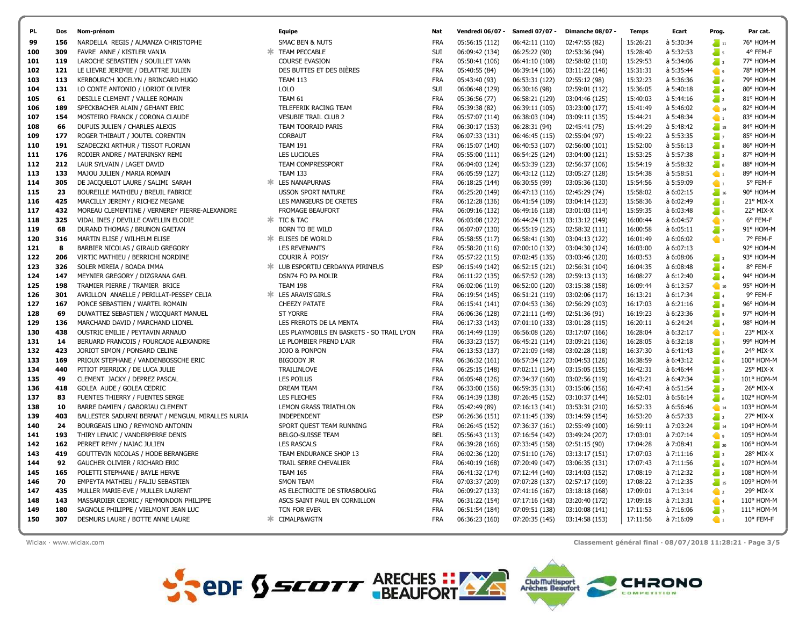

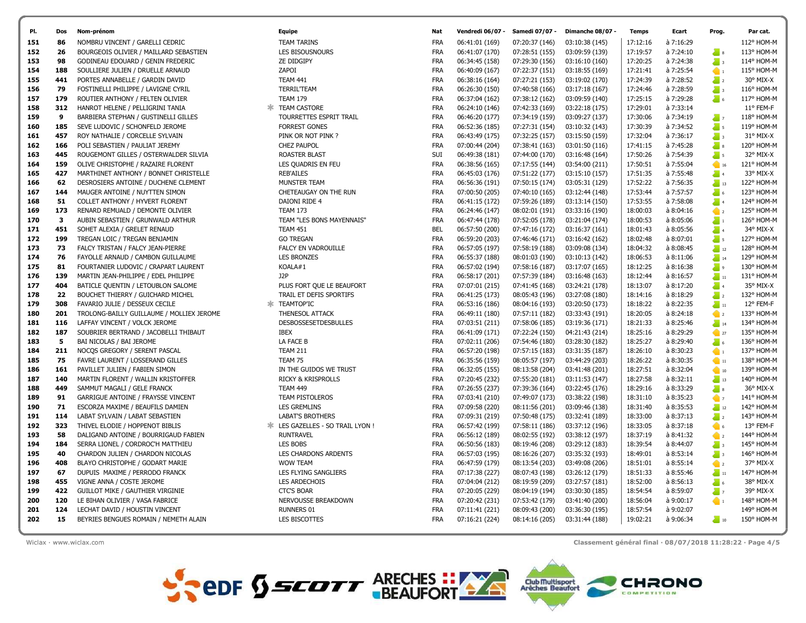

Wiclax · www.wiclax.com Classement général final · 08/07/2018 11:28:22 · Page 4/5

| 170 | з   | AUBIN SEBASTIEN / GRUNWALD ARTHUR         | TEAM "LES BONS MAYENNAIS"               | <b>FRA</b> | 06:47:44 (178) | 07:52:05 (178 |
|-----|-----|-------------------------------------------|-----------------------------------------|------------|----------------|---------------|
| 171 | 451 | SOHET ALEXIA / GRELET RENAUD              | <b>TEAM 451</b>                         | <b>BEL</b> | 06:57:50 (200) | 07:47:16 (172 |
| 172 | 199 | TREGAN LOIC / TREGAN BENJAMIN             | <b>GO TREGAN</b>                        | <b>FRA</b> | 06:59:20 (203) | 07:46:46 (171 |
| 173 | 73  | FALCY TRISTAN / FALCY JEAN-PIERRE         | <b>FALCY EN VADROUILLE</b>              | <b>FRA</b> | 06:57:05 (197) | 07:58:19 (188 |
| 174 | 76  | FAYOLLE ARNAUD / CAMBON GUILLAUME         | <b>LES BRONZES</b>                      | <b>FRA</b> | 06:55:37 (188) | 08:01:03 (190 |
| 175 | 81  | FOURTANIER LUDOVIC / CRAPART LAURENT      | KOALA#1                                 | FRA        | 06:57:02 (194) | 07:58:16 (187 |
| 176 | 139 | MARTIN JEAN-PHILIPPE / EDEL PHILIPPE      | J2P                                     | <b>FRA</b> | 06:58:17 (201) | 07:57:39 (184 |
| 177 | 404 | BATICLE QUENTIN / LETOUBLON SALOME        | PLUS FORT QUE LE BEAUFORT               | <b>FRA</b> | 07:07:01 (215) | 07:41:45 (168 |
| 178 | 22  | BOUCHET THIERRY / GUICHARD MICHEL         | TRAIL ET DEFIS SPORTIFS                 | FRA        | 06:41:25 (173) | 08:05:43 (196 |
| 179 | 308 | FAVARIO JULIE / DESSEUX CECILE            | * TEAMTOP'IC                            | <b>FRA</b> | 06:53:16 (186) | 08:04:16 (193 |
| 180 | 201 | TROLONG-BAILLY GUILLAUME / MOLLIEX JEROME | THENESOL ATTACK                         | <b>FRA</b> | 06:49:11 (180) | 07:57:11 (182 |
| 181 | 116 | LAFFAY VINCENT / VOLCK JEROME             | <b>DESBOSSESETDESBULLES</b>             | <b>FRA</b> | 07:03:51 (211) | 07:58:06 (185 |
| 182 | 187 | SOUBRIER BERTRAND / JACOBELLI THIBAUT     | IBEX                                    | FRA        | 06:41:09 (171) | 07:22:24 (150 |
| 183 | 5   | BAI NICOLAS / BAI JEROME                  | LA FACE B                               | <b>FRA</b> | 07:02:11 (206) | 07:54:46 (180 |
| 184 | 211 | NOCQS GREGORY / SERENT PASCAL             | <b>TEAM 211</b>                         | <b>FRA</b> | 06:57:20 (198) | 07:57:15 (183 |
| 185 | 75  | FAVRE LAURENT / LOSSERAND GILLES          | TEAM 75                                 | <b>FRA</b> | 06:35:56 (159) | 08:05:57 (197 |
| 186 | 161 | PAVILLET JULIEN / FABIEN SIMON            | IN THE GUIDOS WE TRUST                  | FRA        | 06:32:05 (155) | 08:13:58 (204 |
| 187 | 140 | MARTIN FLORENT / WALLIN KRISTOFFER        | <b>RICKY &amp; KRISPROLLS</b>           | <b>FRA</b> | 07:20:45 (232) | 07:55:20 (181 |
| 188 | 449 | SAMMUT MAGALI / GELE FRANCK               | <b>TEAM 449</b>                         | FRA        | 07:26:55 (237) | 07:39:36 (164 |
| 189 | 91  | GARRIGUE ANTOINE / FRAYSSE VINCENT        | TEAM PISTOLEROS                         | <b>FRA</b> | 07:03:41 (210) | 07:49:07 (173 |
| 190 | 71  | ESCORZA MAXIME / BEAUFILS DAMIEN          | <b>LES GREMLINS</b>                     | <b>FRA</b> | 07:09:58 (220) | 08:11:56 (201 |
| 191 | 114 | LABAT SYLVAIN / LABAT SEBASTIEN           | <b>LABAT'S BROTHERS</b>                 | <b>FRA</b> | 07:09:31 (219) | 07:50:48 (175 |
| 192 | 323 | THIVEL ELODIE / HOPPENOT BIBLIS           | <b>* LES GAZELLES - SO TRAIL LYON !</b> | FRA        | 06:57:42 (199) | 07:58:11 (186 |
| 193 | 58  | DALIGAND ANTOINE / BOURRIGAUD FABIEN      | <b>RUNTRAVEL</b>                        | FRA        | 06:56:12 (189) | 08:02:55 (192 |
| 194 | 184 | SERRA LIONEL / CORDROC'H MATTHIEU         | LES BOBS                                | <b>FRA</b> | 06:50:56 (183) | 08:19:46 (208 |
| 195 | 40  | CHARDON JULIEN / CHARDON NICOLAS          | LES CHARDONS ARDENTS                    | <b>FRA</b> | 06:57:03 (195) | 08:16:26 (207 |
| 196 | 408 | BLAYO CHRISTOPHE / GODART MARIE           | <b>WOW TEAM</b>                         | FRA        | 06:47:59 (179) | 08:13:54 (203 |
| 197 | 67  | DUPUIS MAXIME / PERRODO FRANCK            | LES FLYING SANGLIERS                    | FRA        | 07:17:38 (227) | 08:07:43 (198 |
| 198 | 455 | VIGNE ANNA / COSTE JEROME                 | LES ARDECHOIS                           | <b>FRA</b> | 07:04:04 (212) | 08:19:59 (209 |
| 199 | 422 | <b>GUILLOT MIKE / GAUTHIER VIRGINIE</b>   | <b>CTC'S BOAR</b>                       | <b>FRA</b> | 07:20:05 (229) | 08:04:19 (194 |

| PI. | Dos | Nom-prénom                                | Equipe                         | Nat        | Vendredi 06/07 - | Samedi 07/07   | Dimanche 08/07 | <b>Temps</b> | Ecart       | Prog.                                                | Par cat.   |
|-----|-----|-------------------------------------------|--------------------------------|------------|------------------|----------------|----------------|--------------|-------------|------------------------------------------------------|------------|
| 151 | 86  | NOMBRU VINCENT / GARELLI CEDRIC           | <b>TEAM TARINS</b>             | <b>FRA</b> | 06:41:01 (169)   | 07:20:37 (146) | 03:10:38 (145) | 17:12:16     | à 7:16:29   |                                                      | 112° HOM-M |
| 152 | 26  | BOURGEOIS OLIVIER / MAILLARD SEBASTIEN    | LES BISOUSNOURS                | <b>FRA</b> | 06:41:07 (170)   | 07:28:51 (155) | 03:09:59 (139) | 17:19:57     | à 7:24:10   | $\sum_{i=1}^{n}$                                     | 113° HOM-M |
| 153 | 98  | GODINEAU EDOUARD / GENIN FREDERIC         | ZE DIDGIPY                     | <b>FRA</b> | 06:34:45 (158)   | 07:29:30 (156) | 03:16:10 (160) | 17:20:25     | à 7:24:38   | $\sum_{i=1}^{n}$                                     | 114° HOM-M |
| 154 | 188 | SOULLIERE JULIEN / DRUELLE ARNAUD         | ZAPOI                          | <b>FRA</b> | 06:40:09 (167)   | 07:22:37 (151) | 03:18:55 (169) | 17:21:41     | à 7:25:54   | $\bullet$                                            | 115° HOM-M |
| 155 | 441 | PORTES ANNABELLE / GARDIN DAVID           | <b>TEAM 441</b>                | <b>FRA</b> | 06:38:16 (164)   | 07:27:21 (153) | 03:19:02 (170) | 17:24:39     | à 7:28:52   | $\sum_{i=1}^{n}$                                     | 30° MIX-X  |
| 156 | 79  | FOSTINELLI PHILIPPE / LAVIGNE CYRIL       | <b>TERRIL'TEAM</b>             | <b>FRA</b> | 06:26:30 (150)   | 07:40:58 (166) | 03:17:18 (167) | 17:24:46     | à 7:28:59   | $\sum_{i=1}^{n}$                                     | 116° HOM-M |
| 157 | 179 | ROUTIER ANTHONY / FELTEN OLIVIER          | <b>TEAM 179</b>                | <b>FRA</b> | 06:37:04 (162)   | 07:38:12 (162) | 03:09:59 (140) | 17:25:15     | à 7:29:28   | $\sum_{i=1}^{n}$                                     | 117° HOM-M |
| 158 | 312 | HANROT HELENE / PELLIGRINI TANIA          | <b>TEAM CASTORE</b>            | <b>FRA</b> | 06:24:10 (146)   | 07:42:33 (169) | 03:22:18 (175) | 17:29:01     | à 7:33:14   |                                                      | 11° FEM-F  |
| 159 | 9   | BARBIERA STEPHAN / GUSTINELLI GILLES      | TOURRETTES ESPRIT TRAIL        | <b>FRA</b> | 06:46:20 (177)   | 07:34:19 (159) | 03:09:27 (137) | 17:30:06     | à 7:34:19   | $\sum_{i=1}^{n}$                                     | 118° HOM-M |
| 160 | 185 | SEVE LUDOVIC / SCHONFELD JEROME           | <b>FORREST GONES</b>           | <b>FRA</b> | 06:52:36 (185)   | 07:27:31 (154) | 03:10:32 (143) | 17:30:39     | à 7:34:52   | $\sum_{i=1}^{n} s_i$                                 | 119° HOM-M |
| 161 | 457 | ROY NATHALIE / CORCELLE SYLVAIN           | PINK OR NOT PINK ?             | <b>FRA</b> | 06:43:49 (175)   | 07:32:25 (157) | 03:15:50 (159) | 17:32:04     | à 7:36:17   | $\sum_{i=1}^{n}$                                     | 31° MIX-X  |
| 162 | 166 | POLI SEBASTIEN / PAULIAT JEREMY           | CHEZ PAUPOL                    | <b>FRA</b> | 07:00:44 (204)   | 07:38:41 (163) | 03:01:50 (116) | 17:41:15     | à 7:45:28   | $\sum_{i=1}^{n}$                                     | 120° HOM-M |
| 163 | 445 | ROUGEMONT GILLES / OSTERWALDER SILVIA     | <b>ROASTER BLAST</b>           | SUI        | 06:49:38 (181)   | 07:44:00 (170) | 03:16:48 (164) | 17:50:26     | à 7:54:39   | $\sum_{i=1}^{n}$                                     | 32° MIX-X  |
| 164 | 159 | OLIVE CHRISTOPHE / RAZAIRE FLORENT        | LES QUADRIS EN FEU             | <b>FRA</b> | 06:38:56 (165)   | 07:17:55 (144) | 03:54:00 (211) | 17:50:51     | à 7:55:04   | $\bigcirc$ 16                                        | 121° HOM-M |
| 165 | 427 | MARTHINET ANTHONY / BONNET CHRISTELLE     | <b>REB'AILES</b>               | <b>FRA</b> | 06:45:03 (176)   | 07:51:22 (177) | 03:15:10 (157) | 17:51:35     | à 7:55:48   | $\sum_{i=1}^{n}$                                     | 33° MIX-X  |
| 166 | 62  | DESROSIERS ANTOINE / DUCHENE CLEMENT      | MUNSTER TEAM                   | <b>FRA</b> | 06:56:36 (191)   | 07:50:15 (174) | 03:05:31 (129) | 17:52:22     | à 7:56:35   | $\overline{\phantom{1}}$ 13                          | 122° HOM-M |
| 167 | 144 | MAUGER ANTOINE / NUYTTEN SIMON            | CHETEAUGAY ON THE RUN          | <b>FRA</b> | 07:00:50 (205)   | 07:40:10 (165) | 03:12:44 (148) | 17:53:44     | à 7:57:57   | $\sum_{i=1}^{n}$                                     | 123° HOM-M |
| 168 | 51  | COLLET ANTHONY / HYVERT FLORENT           | DAIONI RIDE 4                  | <b>FRA</b> | 06:41:15 (172)   | 07:59:26 (189) | 03:13:14 (150) | 17:53:55     | à 7:58:08   | $\sum_{i=1}^{n}$                                     | 124° HOM-M |
| 169 | 173 | RENARD REMUALD / DEMONTE OLIVIER          | <b>TEAM 173</b>                | <b>FRA</b> | 06:24:46 (147)   | 08:02:01 (191) | 03:33:16 (190) | 18:00:03     | a 8:04:16   | $\bigcirc$ 2                                         | 125° HOM-M |
| 170 | 3   | AUBIN SEBASTIEN / GRUNWALD ARTHUR         | TEAM "LES BONS MAYENNAIS"      | <b>FRA</b> | 06:47:44 (178)   | 07:52:05 (178) | 03:21:04 (174) | 18:00:53     | à 8:05:06   | $\sum_{i=1}^{n}$                                     | 126° HOM-M |
| 171 | 451 | SOHET ALEXIA / GRELET RENAUD              | <b>TEAM 451</b>                | <b>BEL</b> | 06:57:50 (200)   | 07:47:16 (172) | 03:16:37 (161) | 18:01:43     | à 8:05:56   | $\sum_{i=1}^{n}$                                     | 34° MIX-X  |
| 172 | 199 | TREGAN LOIC / TREGAN BENJAMIN             | <b>GO TREGAN</b>               | <b>FRA</b> | 06:59:20 (203)   | 07:46:46 (171) | 03:16:42 (162) | 18:02:48     | à 8:07:01   | $\sum_{i=1}^{n} s_i$                                 | 127° HOM-M |
| 173 | 73  | FALCY TRISTAN / FALCY JEAN-PIERRE         | FALCY EN VADROUILLE            | <b>FRA</b> | 06:57:05 (197)   | 07:58:19 (188) | 03:09:08 (134) | 18:04:32     | à 8:08:45   | $\sum_{12}$                                          | 128° HOM-M |
| 174 | 76  | FAYOLLE ARNAUD / CAMBON GUILLAUME         | <b>LES BRONZES</b>             | <b>FRA</b> | 06:55:37 (188)   | 08:01:03 (190) | 03:10:13 (142) | 18:06:53     | à 8:11:06   | $\overline{\phantom{1}}$ 14                          | 129° HOM-M |
| 175 | 81  | FOURTANIER LUDOVIC / CRAPART LAURENT      | KOALA#1                        | <b>FRA</b> | 06:57:02 (194)   | 07:58:16 (187) | 03:17:07 (165) | 18:12:25     | $a$ 8:16:38 | $\sum_{i=1}^{n} a_i$                                 | 130° HOM-M |
| 176 | 139 | MARTIN JEAN-PHILIPPE / EDEL PHILIPPE      | J2P                            | <b>FRA</b> | 06:58:17 (201)   | 07:57:39 (184) | 03:16:48 (163) | 18:12:44     | $a$ 8:16:57 | $\sum_{i=1}^{n}$ 11                                  | 131° HOM-M |
| 177 | 404 | BATICLE QUENTIN / LETOUBLON SALOME        | PLUS FORT QUE LE BEAUFORT      | <b>FRA</b> | 07:07:01 (215)   | 07:41:45 (168) | 03:24:21 (178) | 18:13:07     | à 8:17:20   | $\sum_{i=1}^{n}$                                     | 35° MIX-X  |
| 178 | 22  | BOUCHET THIERRY / GUICHARD MICHEL         | TRAIL ET DEFIS SPORTIFS        | <b>FRA</b> | 06:41:25 (173)   | 08:05:43 (196) | 03:27:08 (180) | 18:14:16     | à 8:18:29   | $\sum_{i=1}^{n}$                                     | 132° HOM-M |
| 179 | 308 | FAVARIO JULIE / DESSEUX CECILE            | <b>TEAMTOP'IC</b>              | <b>FRA</b> | 06:53:16 (186)   | 08:04:16 (193) | 03:20:50 (173) | 18:18:22     | à 8:22:35   | $\sum_{i=1}^{n}$ 11                                  | 12° FEM-F  |
| 180 | 201 | TROLONG-BAILLY GUILLAUME / MOLLIEX JEROME | <b>THENESOL ATTACK</b>         | <b>FRA</b> | 06:49:11 (180)   | 07:57:11 (182) | 03:33:43 (191) | 18:20:05     | à 8:24:18   | $\bigcirc$ 2                                         | 133° HOM-M |
| 181 | 116 | LAFFAY VINCENT / VOLCK JEROME             | DESBOSSESETDESBULLES           | <b>FRA</b> | 07:03:51 (211)   | 07:58:06 (185) | 03:19:36 (171) | 18:21:33     | à 8:25:46   | $\frac{1}{2}$ 14                                     | 134° HOM-M |
| 182 | 187 | SOUBRIER BERTRAND / JACOBELLI THIBAUT     | <b>IBEX</b>                    | <b>FRA</b> | 06:41:09 (171)   | 07:22:24 (150) | 04:21:43 (214) | 18:25:16     | à 8:29:29   | 27                                                   | 135° HOM-M |
| 183 | 5   | BAI NICOLAS / BAI JEROME                  | LA FACE B                      | <b>FRA</b> | 07:02:11 (206)   | 07:54:46 (180) | 03:28:30 (182) | 18:25:27     | à 8:29:40   | $\sum_{i=1}^{n}$                                     | 136° HOM-M |
| 184 | 211 | NOCQS GREGORY / SERENT PASCAL             | <b>TEAM 211</b>                | <b>FRA</b> | 06:57:20 (198)   | 07:57:15 (183) | 03:31:35 (187) | 18:26:10     | à 8:30:23   | $\bullet$                                            | 137° HOM-M |
| 185 | 75  | FAVRE LAURENT / LOSSERAND GILLES          | TEAM 75                        | <b>FRA</b> | 06:35:56 (159)   | 08:05:57 (197) | 03:44:29 (203) | 18:26:22     | à 8:30:35   | $\begin{array}{c} \bullet \\ \bullet \end{array}$ 11 | 138° HOM-M |
| 186 | 161 | PAVILLET JULIEN / FABIEN SIMON            | IN THE GUIDOS WE TRUST         | <b>FRA</b> | 06:32:05 (155)   | 08:13:58 (204) | 03:41:48 (201) | 18:27:51     | à 8:32:04   | $\bigcirc$ 10                                        | 139° HOM-M |
| 187 | 140 | MARTIN FLORENT / WALLIN KRISTOFFER        | <b>RICKY &amp; KRISPROLLS</b>  | <b>FRA</b> | 07:20:45 (232)   | 07:55:20 (181) | 03:11:53 (147) | 18:27:58     | à 8:32:11   | $\frac{1}{2}$ 13                                     | 140° HOM-M |
| 188 | 449 | SAMMUT MAGALI / GELE FRANCK               | <b>TEAM 449</b>                | <b>FRA</b> | 07:26:55 (237)   | 07:39:36 (164) | 03:22:45 (176) | 18:29:16     | à 8:33:29   | $\sum_{i=1}^{n}$                                     | 36° MIX-X  |
| 189 | 91  | <b>GARRIGUE ANTOINE / FRAYSSE VINCENT</b> | <b>TEAM PISTOLEROS</b>         | <b>FRA</b> | 07:03:41 (210)   | 07:49:07 (173) | 03:38:22 (198) | 18:31:10     | $a$ 8:35:23 | $\bullet$                                            | 141° HOM-M |
| 190 | 71  | ESCORZA MAXIME / BEAUFILS DAMIEN          | <b>LES GREMLINS</b>            | <b>FRA</b> | 07:09:58 (220)   | 08:11:56 (201) | 03:09:46 (138) | 18:31:40     | à 8:35:53   | $\sum_{n=1}^{\infty} 12$                             | 142° HOM-M |
| 191 | 114 | LABAT SYLVAIN / LABAT SEBASTIEN           | <b>LABAT'S BROTHERS</b>        | <b>FRA</b> | 07:09:31 (219)   | 07:50:48 (175) | 03:32:41 (189) | 18:33:00     | à 8:37:13   | $\sum_{i=1}^{n}$                                     | 143° HOM-M |
| 192 | 323 | THIVEL ELODIE / HOPPENOT BIBLIS           | LES GAZELLES - SO TRAIL LYON ! | <b>FRA</b> | 06:57:42 (199)   | 07:58:11 (186) | 03:37:12 (196) | 18:33:05     | à 8:37:18   | $\bullet$ 6                                          | 13° FEM-F  |
| 193 | 58  | DALIGAND ANTOINE / BOURRIGAUD FABIEN      | <b>RUNTRAVEL</b>               | <b>FRA</b> | 06:56:12 (189)   | 08:02:55 (192) | 03:38:12 (197) | 18:37:19     | à 8:41:32   | $\bullet$ 2                                          | 144° HOM-M |
| 194 | 184 | SERRA LIONEL / CORDROC'H MATTHIEU         | LES BOBS                       | <b>FRA</b> | 06:50:56 (183)   | 08:19:46 (208) | 03:29:12 (183) | 18:39:54     | à 8:44:07   | $\sum_{i=1}^{n}$                                     | 145° HOM-M |
| 195 | 40  | CHARDON JULIEN / CHARDON NICOLAS          | LES CHARDONS ARDENTS           | <b>FRA</b> | 06:57:03 (195)   | 08:16:26 (207) | 03:35:32 (193) | 18:49:01     | à 8:53:14   | $\sum_{i=1}^{n}$                                     | 146° HOM-M |
| 196 | 408 | BLAYO CHRISTOPHE / GODART MARIE           | <b>WOW TEAM</b>                | <b>FRA</b> | 06:47:59 (179)   | 08:13:54 (203) | 03:49:08 (206) | 18:51:01     | à 8:55:14   | $\bigcirc$ 2                                         | 37° MIX-X  |
| 197 | 67  | DUPUIS MAXIME / PERRODO FRANCK            | LES FLYING SANGLIERS           | <b>FRA</b> | 07:17:38 (227)   | 08:07:43 (198) | 03:26:12 (179) | 18:51:33     | à 8:55:46   | $\sum_{n=1}^{\infty}$ 11                             | 147° HOM-M |
| 198 | 455 | VIGNE ANNA / COSTE JEROME                 | <b>LES ARDECHOIS</b>           | <b>FRA</b> | 07:04:04 (212)   | 08:19:59 (209) | 03:27:57 (181) | 18:52:00     | à 8:56:13   | $\sum_{i=1}^{n}$                                     | 38° MIX-X  |
| 199 | 422 | <b>GUILLOT MIKE / GAUTHIER VIRGINIE</b>   | <b>CTC'S BOAR</b>              | <b>FRA</b> | 07:20:05 (229)   | 08:04:19 (194) | 03:30:30 (185) | 18:54:54     | à 8:59:07   | $\sum$ 7                                             | 39° MIX-X  |
| 200 | 120 | LE BIHAN OLIVIER / VASA FABRICE           | NERVOUSSE BREAKDOWN            | <b>FRA</b> | 07:20:42 (231)   | 07:53:42 (179) | 03:41:40 (200) | 18:56:04     | à 9:00:17   | $\bullet$                                            | 148° HOM-M |
| 201 | 124 | LECHAT DAVID / HOUSTIN VINCENT            | <b>RUNNERS 01</b>              | <b>FRA</b> | 07:11:41 (221)   | 08:09:43 (200) | 03:36:30 (195) | 18:57:54     | à 9:02:07   |                                                      | 149° HOM-M |
| 202 | 15  | BEYRIES BENGUES ROMAIN / NEMETH ALAIN     | LES BISCOTTES                  | <b>FRA</b> | 07:16:21 (224)   | 08:14:16 (205) | 03:31:44 (188) | 19:02:21     | à 9:06:34   | $\frac{1}{2}$ 10                                     | 150° HOM-M |